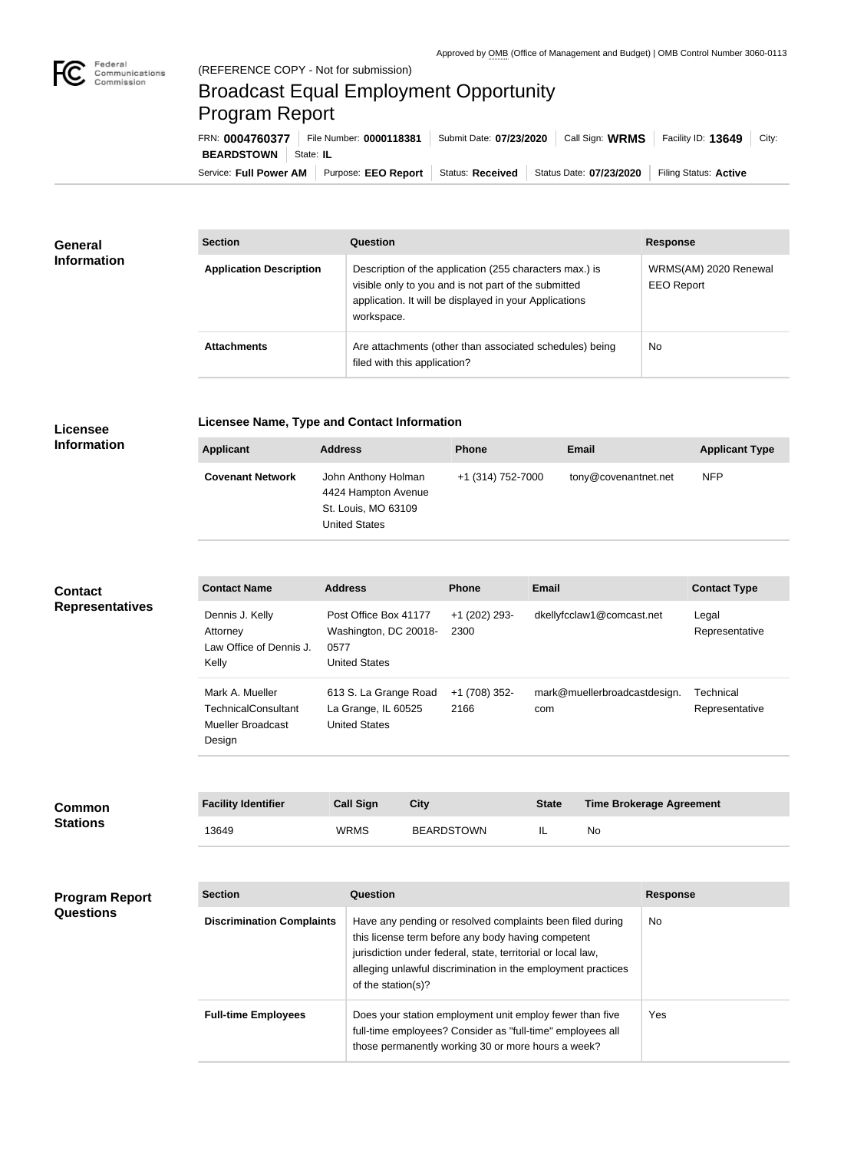

## Broadcast Equal Employment Opportunity Program Report

Service: Full Power AM | Purpose: EEO Report | Status: Received | Status Date: 07/23/2020 | Filing Status: Active **BEARDSTOWN** State: IL FRN: **0004760377** File Number: **0000118381** Submit Date: **07/23/2020** Call Sign: **WRMS** Facility ID: **13649** City:

| <b>General</b><br><b>Information</b> | <b>Section</b>                 | <b>Question</b>                                                                                                                                                                         | <b>Response</b>                            |  |
|--------------------------------------|--------------------------------|-----------------------------------------------------------------------------------------------------------------------------------------------------------------------------------------|--------------------------------------------|--|
|                                      | <b>Application Description</b> | Description of the application (255 characters max.) is<br>visible only to you and is not part of the submitted<br>application. It will be displayed in your Applications<br>workspace. | WRMS(AM) 2020 Renewal<br><b>EEO Report</b> |  |
|                                      | <b>Attachments</b>             | Are attachments (other than associated schedules) being<br>filed with this application?                                                                                                 | No                                         |  |

## **Licensee Information**

**Licensee Name, Type and Contact Information**

| Applicant               | <b>Address</b>                                                                            | <b>Phone</b>      | Email                | <b>Applicant Type</b> |
|-------------------------|-------------------------------------------------------------------------------------------|-------------------|----------------------|-----------------------|
| <b>Covenant Network</b> | John Anthony Holman<br>4424 Hampton Avenue<br>St. Louis, MO 63109<br><b>United States</b> | +1 (314) 752-7000 | tony@covenantnet.net | <b>NFP</b>            |

## **Contact Representatives**

| <b>Contact Name</b>                                                          | <b>Address</b>                                                                 | <b>Phone</b>          | Email                               | <b>Contact Type</b>         |
|------------------------------------------------------------------------------|--------------------------------------------------------------------------------|-----------------------|-------------------------------------|-----------------------------|
| Dennis J. Kelly<br>Attorney<br>Law Office of Dennis J.<br>Kelly              | Post Office Box 41177<br>Washington, DC 20018-<br>0577<br><b>United States</b> | +1 (202) 293-<br>2300 | dkellyfcclaw1@comcast.net           | Legal<br>Representative     |
| Mark A. Mueller<br><b>TechnicalConsultant</b><br>Mueller Broadcast<br>Design | 613 S. La Grange Road<br>La Grange, IL 60525<br><b>United States</b>           | +1 (708) 352-<br>2166 | mark@muellerbroadcastdesign.<br>com | Technical<br>Representative |

| <b>Common</b><br>Stations | <b>Facility Identifier</b> | <b>Call Sign</b> | City       | <b>State</b> | <b>Time Brokerage Agreement</b> |
|---------------------------|----------------------------|------------------|------------|--------------|---------------------------------|
|                           | 13649                      | <b>WRMS</b>      | BEARDSTOWN | IL           | No                              |

| <b>Program Report</b><br><b>Questions</b> | <b>Section</b>                   | Question                                                                                                                                                                                                                                                              | <b>Response</b> |
|-------------------------------------------|----------------------------------|-----------------------------------------------------------------------------------------------------------------------------------------------------------------------------------------------------------------------------------------------------------------------|-----------------|
|                                           | <b>Discrimination Complaints</b> | Have any pending or resolved complaints been filed during<br>this license term before any body having competent<br>jurisdiction under federal, state, territorial or local law,<br>alleging unlawful discrimination in the employment practices<br>of the station(s)? | No.             |
|                                           | <b>Full-time Employees</b>       | Does your station employment unit employ fewer than five<br>full-time employees? Consider as "full-time" employees all<br>those permanently working 30 or more hours a week?                                                                                          | Yes:            |